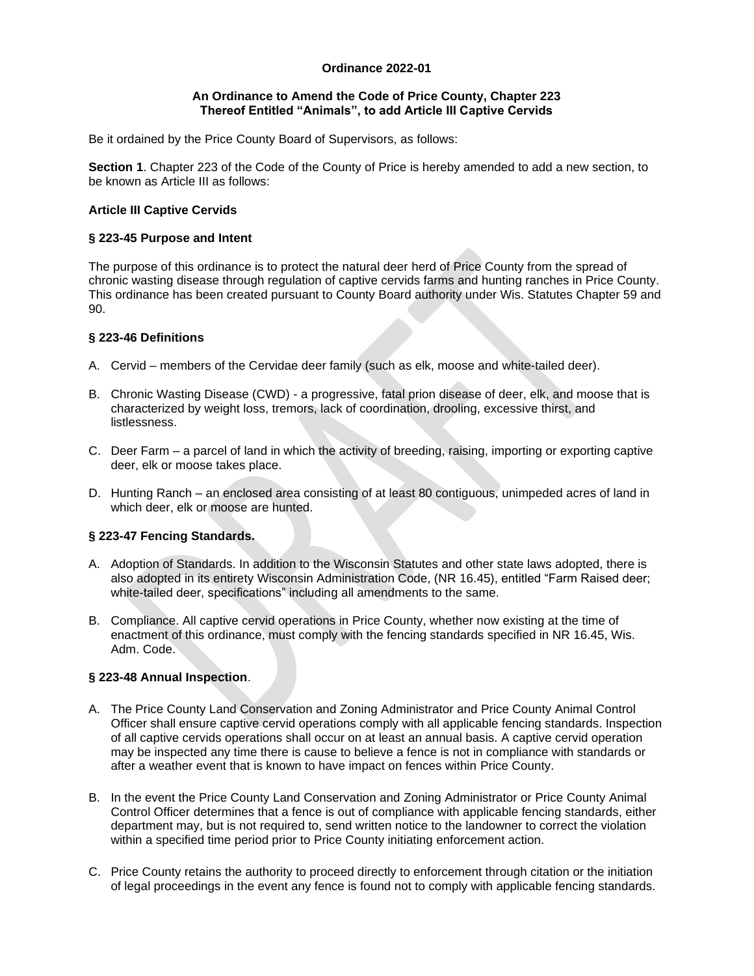## **Ordinance 2022-01**

#### **An Ordinance to Amend the Code of Price County, Chapter 223 Thereof Entitled "Animals", to add Article III Captive Cervids**

Be it ordained by the Price County Board of Supervisors, as follows:

**Section 1**. Chapter 223 of the Code of the County of Price is hereby amended to add a new section, to be known as Article III as follows:

# **Article III Captive Cervids**

## **§ 223-45 Purpose and Intent**

The purpose of this ordinance is to protect the natural deer herd of Price County from the spread of chronic wasting disease through regulation of captive cervids farms and hunting ranches in Price County. This ordinance has been created pursuant to County Board authority under Wis. Statutes Chapter 59 and 90.

## **§ 223-46 Definitions**

- A. Cervid members of the Cervidae deer family (such as elk, moose and white-tailed deer).
- B. Chronic Wasting Disease (CWD) a progressive, fatal prion disease of deer, elk, and moose that is characterized by weight loss, tremors, lack of coordination, drooling, excessive thirst, and listlessness.
- C. Deer Farm a parcel of land in which the activity of breeding, raising, importing or exporting captive deer, elk or moose takes place.
- D. Hunting Ranch an enclosed area consisting of at least 80 contiguous, unimpeded acres of land in which deer, elk or moose are hunted.

# **§ 223-47 Fencing Standards.**

- A. Adoption of Standards. In addition to the Wisconsin Statutes and other state laws adopted, there is also adopted in its entirety Wisconsin Administration Code, (NR 16.45), entitled "Farm Raised deer; white-tailed deer, specifications" including all amendments to the same.
- B. Compliance. All captive cervid operations in Price County, whether now existing at the time of enactment of this ordinance, must comply with the fencing standards specified in NR 16.45, Wis. Adm. Code.

# **§ 223-48 Annual Inspection**.

- A. The Price County Land Conservation and Zoning Administrator and Price County Animal Control Officer shall ensure captive cervid operations comply with all applicable fencing standards. Inspection of all captive cervids operations shall occur on at least an annual basis. A captive cervid operation may be inspected any time there is cause to believe a fence is not in compliance with standards or after a weather event that is known to have impact on fences within Price County.
- B. In the event the Price County Land Conservation and Zoning Administrator or Price County Animal Control Officer determines that a fence is out of compliance with applicable fencing standards, either department may, but is not required to, send written notice to the landowner to correct the violation within a specified time period prior to Price County initiating enforcement action.
- C. Price County retains the authority to proceed directly to enforcement through citation or the initiation of legal proceedings in the event any fence is found not to comply with applicable fencing standards.